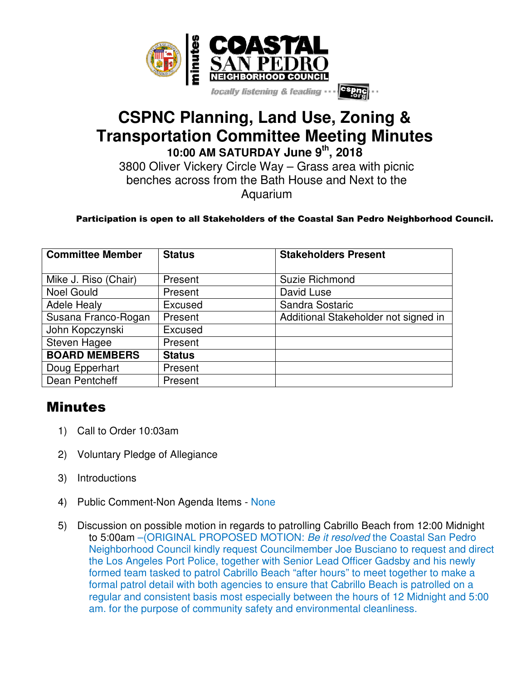

## **CSPNC Planning, Land Use, Zoning & Transportation Committee Meeting Minutes 10:00 AM SATURDAY June 9th, 2018**

3800 Oliver Vickery Circle Way – Grass area with picnic benches across from the Bath House and Next to the Aquarium

## Participation is open to all Stakeholders of the Coastal San Pedro Neighborhood Council.

| <b>Committee Member</b> | <b>Status</b> | <b>Stakeholders Present</b>          |
|-------------------------|---------------|--------------------------------------|
|                         |               |                                      |
| Mike J. Riso (Chair)    | Present       | Suzie Richmond                       |
| <b>Noel Gould</b>       | Present       | David Luse                           |
| <b>Adele Healy</b>      | Excused       | Sandra Sostaric                      |
| Susana Franco-Rogan     | Present       | Additional Stakeholder not signed in |
| John Kopczynski         | Excused       |                                      |
| Steven Hagee            | Present       |                                      |
| <b>BOARD MEMBERS</b>    | <b>Status</b> |                                      |
| Doug Epperhart          | Present       |                                      |
| Dean Pentcheff          | Present       |                                      |

## Minutes

- 1) Call to Order 10:03am
- 2) Voluntary Pledge of Allegiance
- 3) Introductions
- 4) Public Comment-Non Agenda Items None
- 5) Discussion on possible motion in regards to patrolling Cabrillo Beach from 12:00 Midnight to 5:00am –(ORIGINAL PROPOSED MOTION: Be it resolved the Coastal San Pedro Neighborhood Council kindly request Councilmember Joe Busciano to request and direct the Los Angeles Port Police, together with Senior Lead Officer Gadsby and his newly formed team tasked to patrol Cabrillo Beach "after hours" to meet together to make a formal patrol detail with both agencies to ensure that Cabrillo Beach is patrolled on a regular and consistent basis most especially between the hours of 12 Midnight and 5:00 am. for the purpose of community safety and environmental cleanliness.